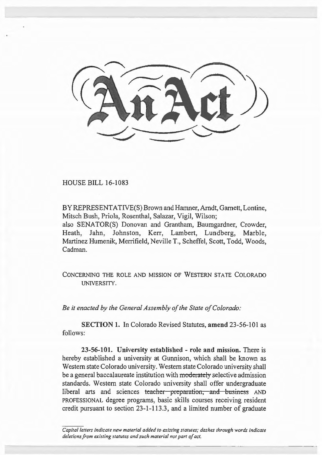

HOUSE BILL 16-1083

BY REPRESENTATIVE(S) Brown and Hamner, Arndt, Garnett, Lontine, Mitsch Bush, Priola, Rosenthal, Salazar, Vigil, Wilson;

also SENATOR(S) Donovan and Grantham, Baumgardner, Crowder, Heath, Jahn, Johnston, Kerr, Lambert, Lundberg, Marble, Martinez Humenik, Merrifield, Neville T., Scheffel, Scott, Todd, Woods, Cadman.

CONCERNING THE ROLE AND MISSION OF WESTERN STATE COLORADO UNIVERSITY.

*Be it enacted by the General Assembly of the State of Colorado:* 

SECTION 1. In Colorado Revised Statutes, amend 23-56-101 as follows:

23-56-101. University established - role and mission. There is hereby established a university at Gunnison, which shall be known as Western state Colorado university. Western state Colorado university shall be a general baccalaureate institution with moderately selective admission standards. Western state Colorado university shall offer undergraduate liberal arts and sciences teacher preparation, and business AND PROFESSIONAL degree programs, basic skills courses receiving resident credit pursuant to section 23-1-113.3, and a limited number of graduate

*Capital letters indicate new material added to existing statutes; dashes through words indicate deletions from existing statutes and such material not part of act.*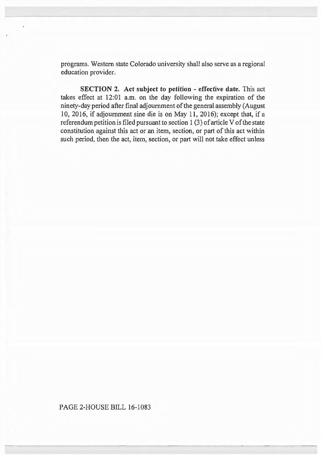programs. Western state Colorado university shall also serve as a regional education provider.

SECTION 2. Act subject to petition - effective date. This act takes effect at 12:01 a.m. on the day following the expiration of the ninety-day period after final adjournment of the general assembly (August 10, 2016, if adjournment sine die is on May 11, 2016); except that, if a referendum petition is filed pursuant to section 1 (3) of article V of the state constitution against this act or an item, section, or part of this act within such period, then the act, item, section, or part will not take effect unless

## PAGE 2-HOUSE BILL 16-1083